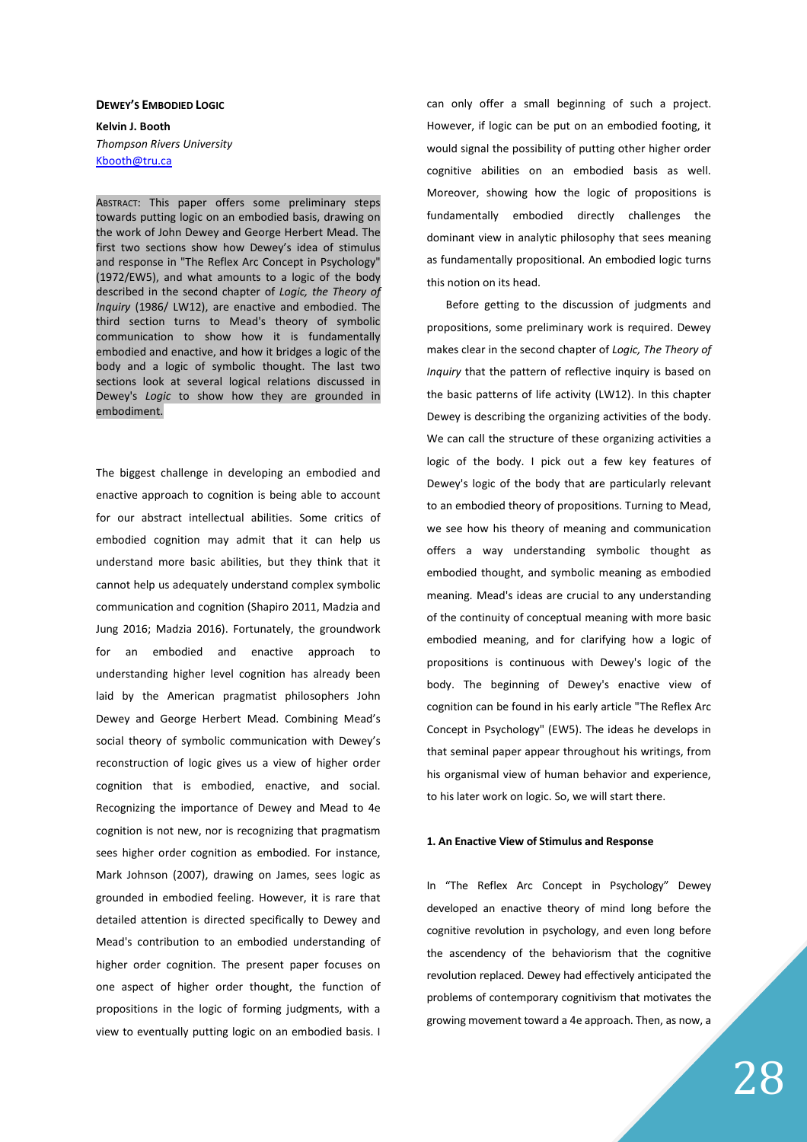#### **DEWEY'S EMBODIED LOGIC**

**Kelvin J. Booth**  *Thompson Rivers University* Kbooth@tru.ca

ABSTRACT: This paper offers some preliminary steps towards putting logic on an embodied basis, drawing on the work of John Dewey and George Herbert Mead. The first two sections show how Dewey's idea of stimulus and response in "The Reflex Arc Concept in Psychology" (1972/EW5), and what amounts to a logic of the body described in the second chapter of *Logic, the Theory of Inquiry* (1986/ LW12), are enactive and embodied. The third section turns to Mead's theory of symbolic communication to show how it is fundamentally embodied and enactive, and how it bridges a logic of the body and a logic of symbolic thought. The last two sections look at several logical relations discussed in Dewey's *Logic* to show how they are grounded in embodiment.

The biggest challenge in developing an embodied and enactive approach to cognition is being able to account for our abstract intellectual abilities. Some critics of embodied cognition may admit that it can help us understand more basic abilities, but they think that it cannot help us adequately understand complex symbolic communication and cognition (Shapiro 2011, Madzia and Jung 2016; Madzia 2016). Fortunately, the groundwork for an embodied and enactive approach to understanding higher level cognition has already been laid by the American pragmatist philosophers John Dewey and George Herbert Mead. Combining Mead's social theory of symbolic communication with Dewey's reconstruction of logic gives us a view of higher order cognition that is embodied, enactive, and social. Recognizing the importance of Dewey and Mead to 4e cognition is not new, nor is recognizing that pragmatism sees higher order cognition as embodied. For instance, Mark Johnson (2007), drawing on James, sees logic as grounded in embodied feeling. However, it is rare that detailed attention is directed specifically to Dewey and Mead's contribution to an embodied understanding of higher order cognition. The present paper focuses on one aspect of higher order thought, the function of propositions in the logic of forming judgments, with a view to eventually putting logic on an embodied basis. I

can only offer a small beginning of such a project. However, if logic can be put on an embodied footing, it would signal the possibility of putting other higher order cognitive abilities on an embodied basis as well. Moreover, showing how the logic of propositions is fundamentally embodied directly challenges the dominant view in analytic philosophy that sees meaning as fundamentally propositional. An embodied logic turns this notion on its head.

Before getting to the discussion of judgments and propositions, some preliminary work is required. Dewey makes clear in the second chapter of *Logic, The Theory of Inquiry* that the pattern of reflective inquiry is based on the basic patterns of life activity (LW12). In this chapter Dewey is describing the organizing activities of the body. We can call the structure of these organizing activities a logic of the body. I pick out a few key features of Dewey's logic of the body that are particularly relevant to an embodied theory of propositions. Turning to Mead, we see how his theory of meaning and communication offers a way understanding symbolic thought as embodied thought, and symbolic meaning as embodied meaning. Mead's ideas are crucial to any understanding of the continuity of conceptual meaning with more basic embodied meaning, and for clarifying how a logic of propositions is continuous with Dewey's logic of the body. The beginning of Dewey's enactive view of cognition can be found in his early article "The Reflex Arc Concept in Psychology" (EW5). The ideas he develops in that seminal paper appear throughout his writings, from his organismal view of human behavior and experience, to his later work on logic. So, we will start there.

# **1. An Enactive View of Stimulus and Response**

In "The Reflex Arc Concept in Psychology" Dewey developed an enactive theory of mind long before the cognitive revolution in psychology, and even long before the ascendency of the behaviorism that the cognitive revolution replaced. Dewey had effectively anticipated the problems of contemporary cognitivism that motivates the growing movement toward a 4e approach. Then, as now, a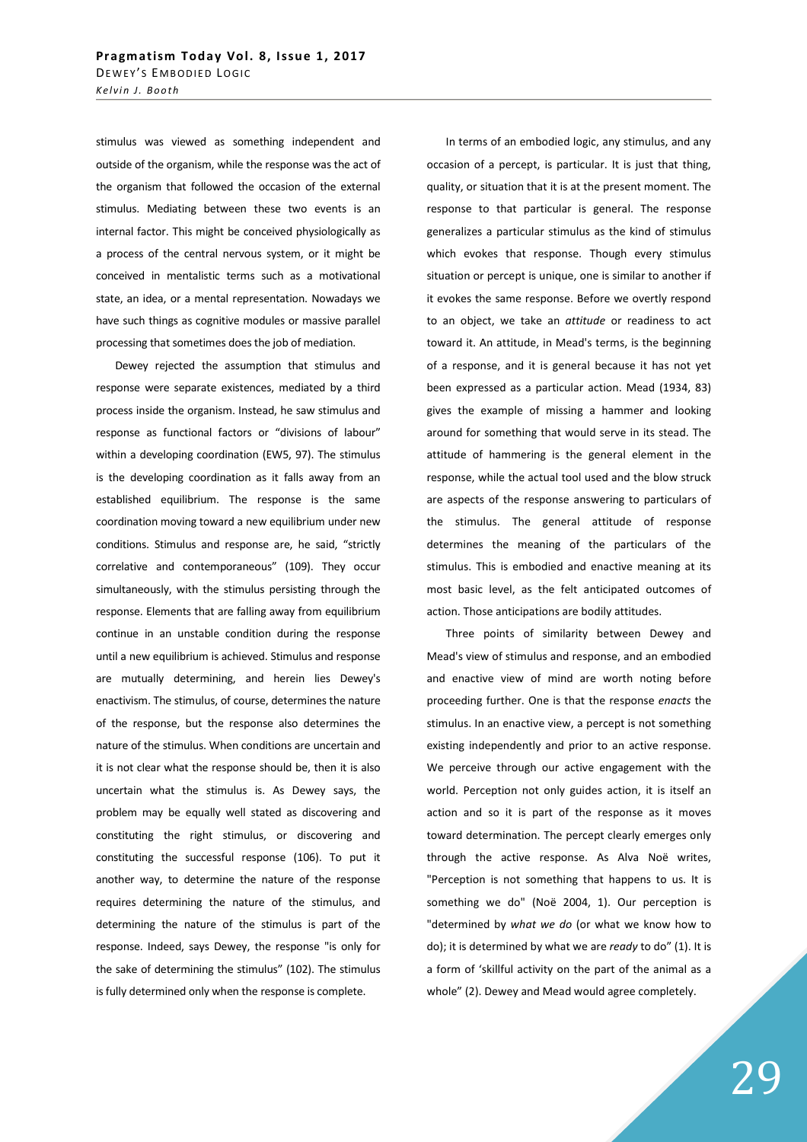stimulus was viewed as something independent and outside of the organism, while the response was the act of the organism that followed the occasion of the external stimulus. Mediating between these two events is an internal factor. This might be conceived physiologically as a process of the central nervous system, or it might be conceived in mentalistic terms such as a motivational state, an idea, or a mental representation. Nowadays we have such things as cognitive modules or massive parallel processing that sometimes does the job of mediation.

Dewey rejected the assumption that stimulus and response were separate existences, mediated by a third process inside the organism. Instead, he saw stimulus and response as functional factors or "divisions of labour" within a developing coordination (EW5, 97). The stimulus is the developing coordination as it falls away from an established equilibrium. The response is the same coordination moving toward a new equilibrium under new conditions. Stimulus and response are, he said, "strictly correlative and contemporaneous" (109). They occur simultaneously, with the stimulus persisting through the response. Elements that are falling away from equilibrium continue in an unstable condition during the response until a new equilibrium is achieved. Stimulus and response are mutually determining, and herein lies Dewey's enactivism. The stimulus, of course, determines the nature of the response, but the response also determines the nature of the stimulus. When conditions are uncertain and it is not clear what the response should be, then it is also uncertain what the stimulus is. As Dewey says, the problem may be equally well stated as discovering and constituting the right stimulus, or discovering and constituting the successful response (106). To put it another way, to determine the nature of the response requires determining the nature of the stimulus, and determining the nature of the stimulus is part of the response. Indeed, says Dewey, the response "is only for the sake of determining the stimulus" (102). The stimulus is fully determined only when the response is complete.

In terms of an embodied logic, any stimulus, and any occasion of a percept, is particular. It is just that thing, quality, or situation that it is at the present moment. The response to that particular is general. The response generalizes a particular stimulus as the kind of stimulus which evokes that response. Though every stimulus situation or percept is unique, one is similar to another if it evokes the same response. Before we overtly respond to an object, we take an *attitude* or readiness to act toward it. An attitude, in Mead's terms, is the beginning of a response, and it is general because it has not yet been expressed as a particular action. Mead (1934, 83) gives the example of missing a hammer and looking around for something that would serve in its stead. The attitude of hammering is the general element in the response, while the actual tool used and the blow struck are aspects of the response answering to particulars of the stimulus. The general attitude of response determines the meaning of the particulars of the stimulus. This is embodied and enactive meaning at its most basic level, as the felt anticipated outcomes of action. Those anticipations are bodily attitudes.

Three points of similarity between Dewey and Mead's view of stimulus and response, and an embodied and enactive view of mind are worth noting before proceeding further. One is that the response *enacts* the stimulus. In an enactive view, a percept is not something existing independently and prior to an active response. We perceive through our active engagement with the world. Perception not only guides action, it is itself an action and so it is part of the response as it moves toward determination. The percept clearly emerges only through the active response. As Alva Noë writes, "Perception is not something that happens to us. It is something we do" (Noë 2004, 1). Our perception is "determined by *what we do* (or what we know how to do); it is determined by what we are *ready* to do" (1). It is a form of 'skillful activity on the part of the animal as a whole" (2). Dewey and Mead would agree completely.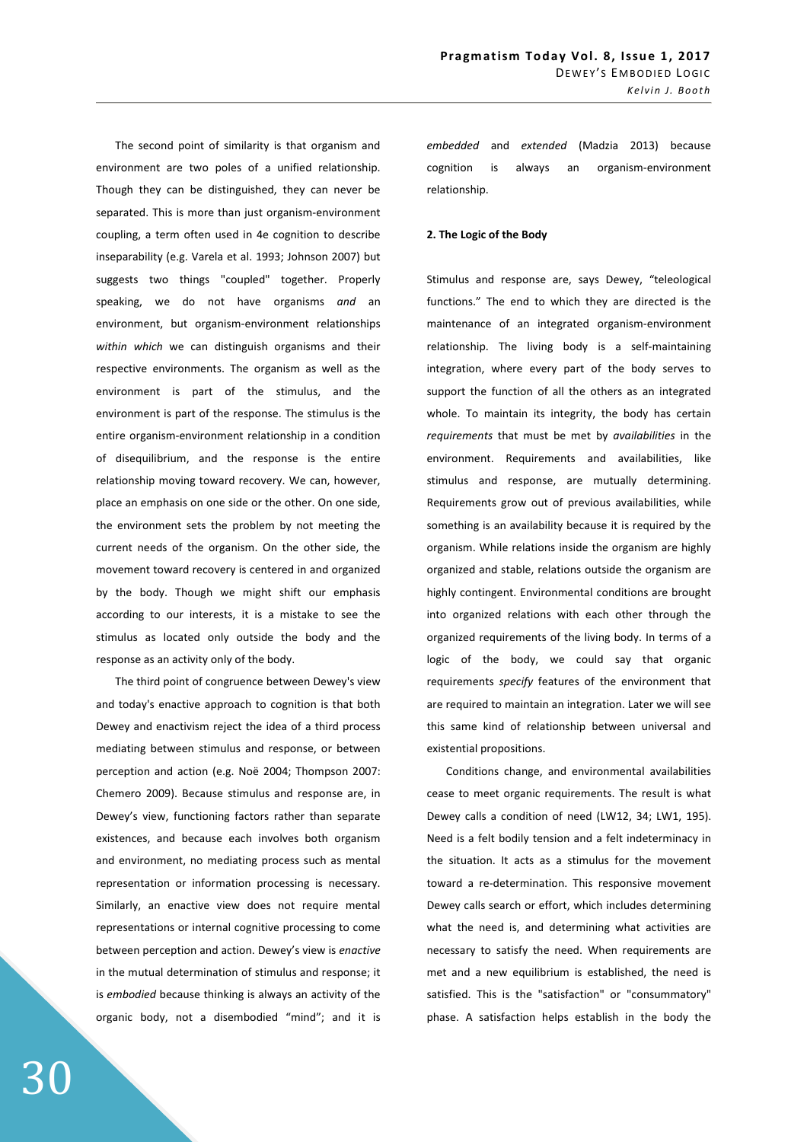The second point of similarity is that organism and environment are two poles of a unified relationship. Though they can be distinguished, they can never be separated. This is more than just organism-environment coupling, a term often used in 4e cognition to describe inseparability (e.g. Varela et al. 1993; Johnson 2007) but suggests two things "coupled" together. Properly speaking, we do not have organisms *and* an environment, but organism-environment relationships *within which* we can distinguish organisms and their respective environments. The organism as well as the environment is part of the stimulus, and the environment is part of the response. The stimulus is the entire organism-environment relationship in a condition of disequilibrium, and the response is the entire relationship moving toward recovery. We can, however, place an emphasis on one side or the other. On one side, the environment sets the problem by not meeting the current needs of the organism. On the other side, the movement toward recovery is centered in and organized by the body. Though we might shift our emphasis according to our interests, it is a mistake to see the stimulus as located only outside the body and the response as an activity only of the body.

The third point of congruence between Dewey's view and today's enactive approach to cognition is that both Dewey and enactivism reject the idea of a third process mediating between stimulus and response, or between perception and action (e.g. Noë 2004; Thompson 2007: Chemero 2009). Because stimulus and response are, in Dewey's view, functioning factors rather than separate existences, and because each involves both organism and environment, no mediating process such as mental representation or information processing is necessary. Similarly, an enactive view does not require mental representations or internal cognitive processing to come between perception and action. Dewey's view is *enactive* in the mutual determination of stimulus and response; it is *embodied* because thinking is always an activity of the organic body, not a disembodied "mind"; and it is *embedded* and *extended* (Madzia 2013) because cognition is always an organism-environment relationship.

# **2. The Logic of the Body**

Stimulus and response are, says Dewey, "teleological functions." The end to which they are directed is the maintenance of an integrated organism-environment relationship. The living body is a self-maintaining integration, where every part of the body serves to support the function of all the others as an integrated whole. To maintain its integrity, the body has certain *requirements* that must be met by *availabilities* in the environment. Requirements and availabilities, like stimulus and response, are mutually determining. Requirements grow out of previous availabilities, while something is an availability because it is required by the organism. While relations inside the organism are highly organized and stable, relations outside the organism are highly contingent. Environmental conditions are brought into organized relations with each other through the organized requirements of the living body. In terms of a logic of the body, we could say that organic requirements *specify* features of the environment that are required to maintain an integration. Later we will see this same kind of relationship between universal and existential propositions.

Conditions change, and environmental availabilities cease to meet organic requirements. The result is what Dewey calls a condition of need (LW12, 34; LW1, 195). Need is a felt bodily tension and a felt indeterminacy in the situation. It acts as a stimulus for the movement toward a re-determination. This responsive movement Dewey calls search or effort, which includes determining what the need is, and determining what activities are necessary to satisfy the need. When requirements are met and a new equilibrium is established, the need is satisfied. This is the "satisfaction" or "consummatory" phase. A satisfaction helps establish in the body the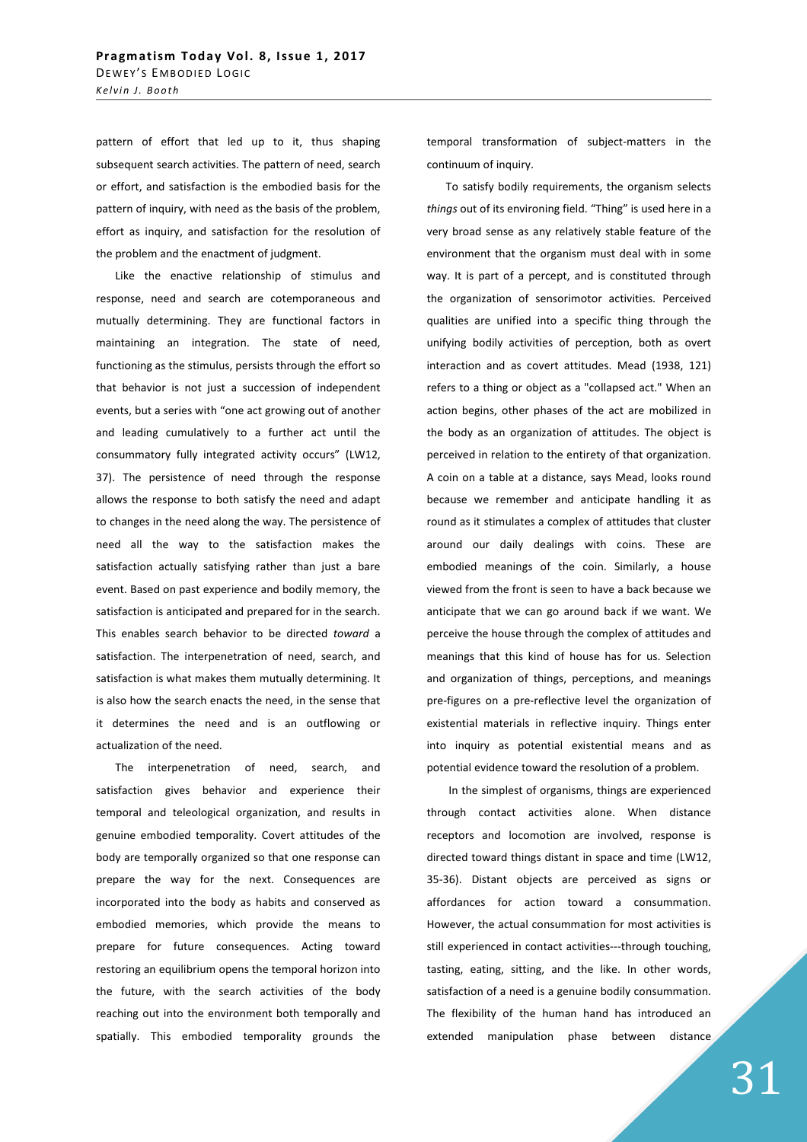pattern of effort that led up to it, thus shaping subsequent search activities. The pattern of need, search or effort, and satisfaction is the embodied basis for the pattern of inquiry, with need as the basis of the problem, effort as inquiry, and satisfaction for the resolution of the problem and the enactment of judgment.

Like the enactive relationship of stimulus and response, need and search are cotemporaneous and mutually determining. They are functional factors in maintaining an integration. The state of need, functioning as the stimulus, persists through the effort so that behavior is not just a succession of independent events, but a series with "one act growing out of another and leading cumulatively to a further act until the consummatory fully integrated activity occurs" (LW12, 37). The persistence of need through the response allows the response to both satisfy the need and adapt to changes in the need along the way. The persistence of need all the way to the satisfaction makes the satisfaction actually satisfying rather than just a bare event. Based on past experience and bodily memory, the satisfaction is anticipated and prepared for in the search. This enables search behavior to be directed *toward* a satisfaction. The interpenetration of need, search, and satisfaction is what makes them mutually determining. It is also how the search enacts the need, in the sense that it determines the need and is an outflowing or actualization of the need.

The interpenetration of need, search, and satisfaction gives behavior and experience their temporal and teleological organization, and results in genuine embodied temporality. Covert attitudes of the body are temporally organized so that one response can prepare the way for the next. Consequences are incorporated into the body as habits and conserved as embodied memories, which provide the means to prepare for future consequences. Acting toward restoring an equilibrium opens the temporal horizon into the future, with the search activities of the body reaching out into the environment both temporally and spatially. This embodied temporality grounds the

temporal transformation of subject-matters in the continuum of inquiry.

To satisfy bodily requirements, the organism selects *things* out of its environing field. "Thing" is used here in a very broad sense as any relatively stable feature of the environment that the organism must deal with in some way. It is part of a percept, and is constituted through the organization of sensorimotor activities. Perceived qualities are unified into a specific thing through the unifying bodily activities of perception, both as overt interaction and as covert attitudes. Mead (1938, 121) refers to a thing or object as a "collapsed act." When an action begins, other phases of the act are mobilized in the body as an organization of attitudes. The object is perceived in relation to the entirety of that organization. A coin on a table at a distance, says Mead, looks round because we remember and anticipate handling it as round as it stimulates a complex of attitudes that cluster around our daily dealings with coins. These are embodied meanings of the coin. Similarly, a house viewed from the front is seen to have a back because we anticipate that we can go around back if we want. We perceive the house through the complex of attitudes and meanings that this kind of house has for us. Selection and organization of things, perceptions, and meanings pre-figures on a pre-reflective level the organization of existential materials in reflective inquiry. Things enter into inquiry as potential existential means and as potential evidence toward the resolution of a problem.

In the simplest of organisms, things are experienced through contact activities alone. When distance receptors and locomotion are involved, response is directed toward things distant in space and time (LW12, 35-36). Distant objects are perceived as signs or affordances for action toward a consummation. However, the actual consummation for most activities is still experienced in contact activities---through touching, tasting, eating, sitting, and the like. In other words, satisfaction of a need is a genuine bodily consummation. The flexibility of the human hand has introduced an extended manipulation phase between distance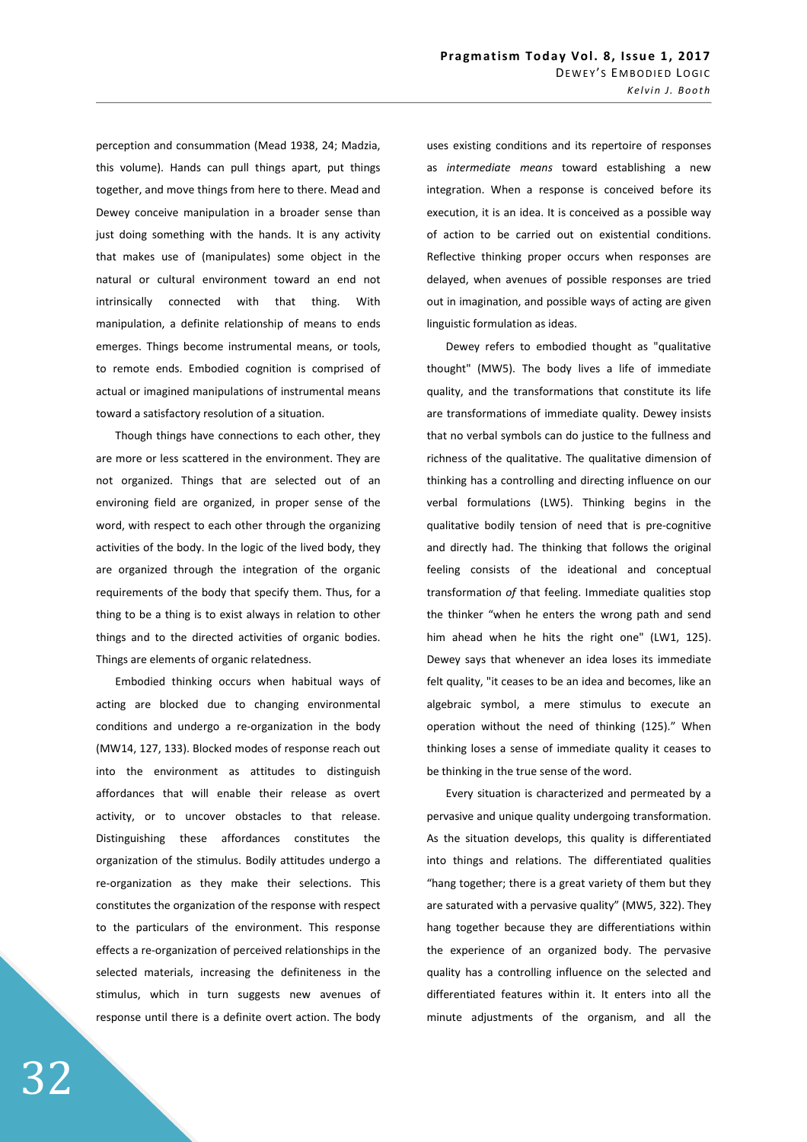perception and consummation (Mead 1938, 24; Madzia, this volume). Hands can pull things apart, put things together, and move things from here to there. Mead and Dewey conceive manipulation in a broader sense than just doing something with the hands. It is any activity that makes use of (manipulates) some object in the natural or cultural environment toward an end not intrinsically connected with that thing. With manipulation, a definite relationship of means to ends emerges. Things become instrumental means, or tools, to remote ends. Embodied cognition is comprised of actual or imagined manipulations of instrumental means toward a satisfactory resolution of a situation.

Though things have connections to each other, they are more or less scattered in the environment. They are not organized. Things that are selected out of an environing field are organized, in proper sense of the word, with respect to each other through the organizing activities of the body. In the logic of the lived body, they are organized through the integration of the organic requirements of the body that specify them. Thus, for a thing to be a thing is to exist always in relation to other things and to the directed activities of organic bodies. Things are elements of organic relatedness.

Embodied thinking occurs when habitual ways of acting are blocked due to changing environmental conditions and undergo a re-organization in the body (MW14, 127, 133). Blocked modes of response reach out into the environment as attitudes to distinguish affordances that will enable their release as overt activity, or to uncover obstacles to that release. Distinguishing these affordances constitutes the organization of the stimulus. Bodily attitudes undergo a re-organization as they make their selections. This constitutes the organization of the response with respect to the particulars of the environment. This response effects a re-organization of perceived relationships in the selected materials, increasing the definiteness in the stimulus, which in turn suggests new avenues of response until there is a definite overt action. The body

uses existing conditions and its repertoire of responses as *intermediate means* toward establishing a new integration. When a response is conceived before its execution, it is an idea. It is conceived as a possible way of action to be carried out on existential conditions. Reflective thinking proper occurs when responses are delayed, when avenues of possible responses are tried out in imagination, and possible ways of acting are given linguistic formulation as ideas.

Dewey refers to embodied thought as "qualitative thought" (MW5). The body lives a life of immediate quality, and the transformations that constitute its life are transformations of immediate quality. Dewey insists that no verbal symbols can do justice to the fullness and richness of the qualitative. The qualitative dimension of thinking has a controlling and directing influence on our verbal formulations (LW5). Thinking begins in the qualitative bodily tension of need that is pre-cognitive and directly had. The thinking that follows the original feeling consists of the ideational and conceptual transformation *of* that feeling. Immediate qualities stop the thinker "when he enters the wrong path and send him ahead when he hits the right one" (LW1, 125). Dewey says that whenever an idea loses its immediate felt quality, "it ceases to be an idea and becomes, like an algebraic symbol, a mere stimulus to execute an operation without the need of thinking (125)." When thinking loses a sense of immediate quality it ceases to be thinking in the true sense of the word.

Every situation is characterized and permeated by a pervasive and unique quality undergoing transformation. As the situation develops, this quality is differentiated into things and relations. The differentiated qualities "hang together; there is a great variety of them but they are saturated with a pervasive quality" (MW5, 322). They hang together because they are differentiations within the experience of an organized body. The pervasive quality has a controlling influence on the selected and differentiated features within it. It enters into all the minute adjustments of the organism, and all the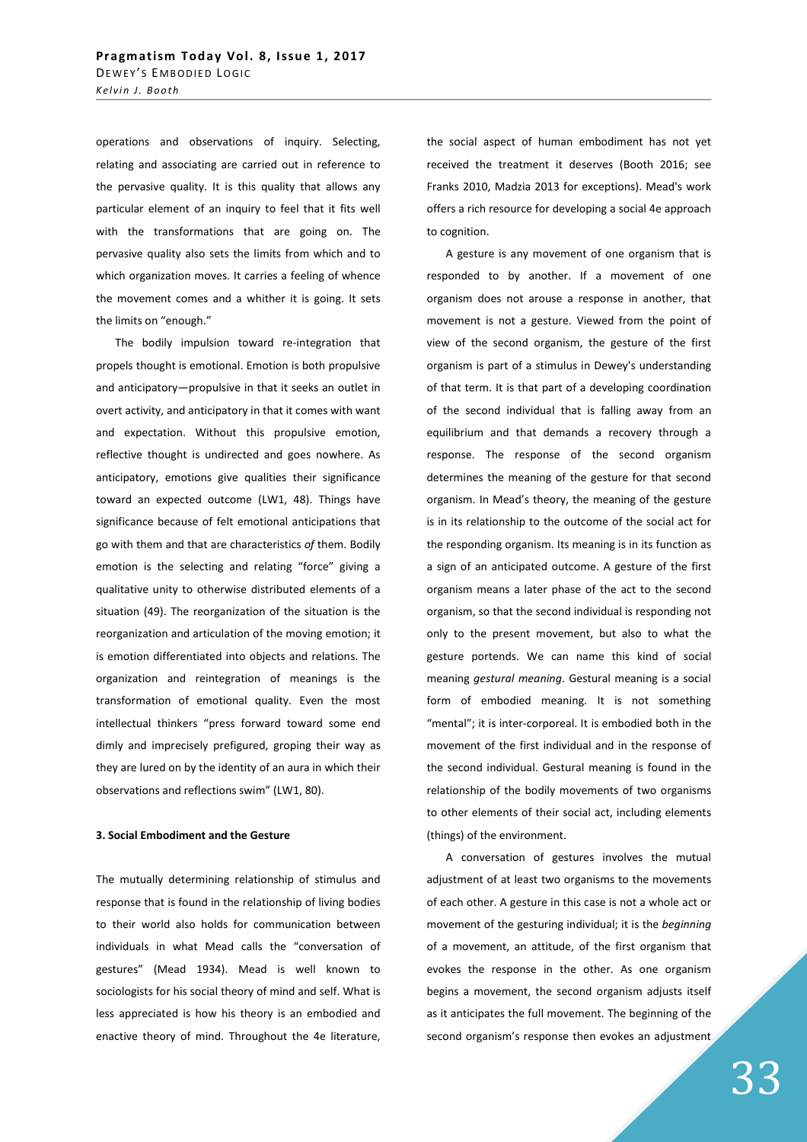operations and observations of inquiry. Selecting, relating and associating are carried out in reference to the pervasive quality. It is this quality that allows any particular element of an inquiry to feel that it fits well with the transformations that are going on. The pervasive quality also sets the limits from which and to which organization moves. It carries a feeling of whence the movement comes and a whither it is going. It sets the limits on "enough."

The bodily impulsion toward re-integration that propels thought is emotional. Emotion is both propulsive and anticipatory—propulsive in that it seeks an outlet in overt activity, and anticipatory in that it comes with want and expectation. Without this propulsive emotion, reflective thought is undirected and goes nowhere. As anticipatory, emotions give qualities their significance toward an expected outcome (LW1, 48). Things have significance because of felt emotional anticipations that go with them and that are characteristics *of* them. Bodily emotion is the selecting and relating "force" giving a qualitative unity to otherwise distributed elements of a situation (49). The reorganization of the situation is the reorganization and articulation of the moving emotion; it is emotion differentiated into objects and relations. The organization and reintegration of meanings is the transformation of emotional quality. Even the most intellectual thinkers "press forward toward some end dimly and imprecisely prefigured, groping their way as they are lured on by the identity of an aura in which their observations and reflections swim" (LW1, 80).

#### **3. Social Embodiment and the Gesture**

The mutually determining relationship of stimulus and response that is found in the relationship of living bodies to their world also holds for communication between individuals in what Mead calls the "conversation of gestures" (Mead 1934). Mead is well known to sociologists for his social theory of mind and self. What is less appreciated is how his theory is an embodied and enactive theory of mind. Throughout the 4e literature,

the social aspect of human embodiment has not yet received the treatment it deserves (Booth 2016; see Franks 2010, Madzia 2013 for exceptions). Mead's work offers a rich resource for developing a social 4e approach to cognition.

A gesture is any movement of one organism that is responded to by another. If a movement of one organism does not arouse a response in another, that movement is not a gesture. Viewed from the point of view of the second organism, the gesture of the first organism is part of a stimulus in Dewey's understanding of that term. It is that part of a developing coordination of the second individual that is falling away from an equilibrium and that demands a recovery through a response. The response of the second organism determines the meaning of the gesture for that second organism. In Mead's theory, the meaning of the gesture is in its relationship to the outcome of the social act for the responding organism. Its meaning is in its function as a sign of an anticipated outcome. A gesture of the first organism means a later phase of the act to the second organism, so that the second individual is responding not only to the present movement, but also to what the gesture portends. We can name this kind of social meaning *gestural meaning*. Gestural meaning is a social form of embodied meaning. It is not something "mental"; it is inter-corporeal. It is embodied both in the movement of the first individual and in the response of the second individual. Gestural meaning is found in the relationship of the bodily movements of two organisms to other elements of their social act, including elements (things) of the environment.

A conversation of gestures involves the mutual adjustment of at least two organisms to the movements of each other. A gesture in this case is not a whole act or movement of the gesturing individual; it is the *beginning* of a movement, an attitude, of the first organism that evokes the response in the other. As one organism begins a movement, the second organism adjusts itself as it anticipates the full movement. The beginning of the second organism's response then evokes an adjustment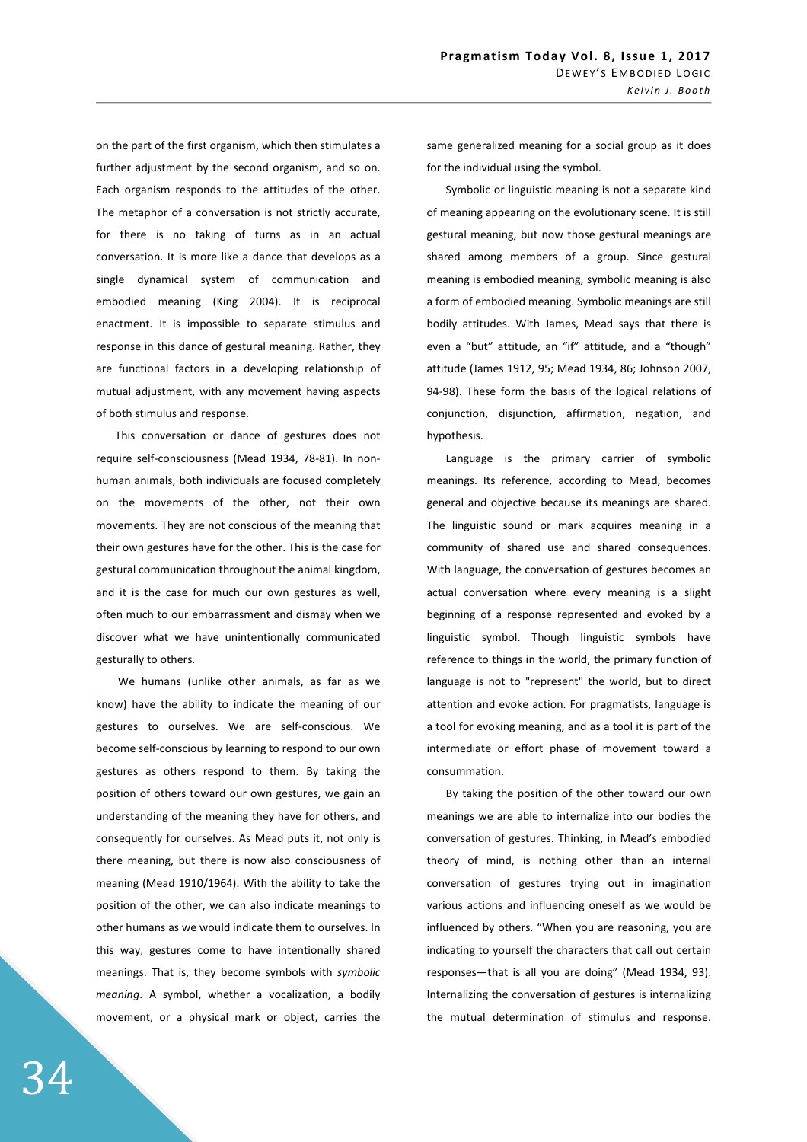on the part of the first organism, which then stimulates a further adjustment by the second organism, and so on. Each organism responds to the attitudes of the other. The metaphor of a conversation is not strictly accurate, for there is no taking of turns as in an actual conversation. It is more like a dance that develops as a single dynamical system of communication and embodied meaning (King 2004). It is reciprocal enactment. It is impossible to separate stimulus and response in this dance of gestural meaning. Rather, they are functional factors in a developing relationship of mutual adjustment, with any movement having aspects of both stimulus and response.

This conversation or dance of gestures does not require self-consciousness (Mead 1934, 78-81). In nonhuman animals, both individuals are focused completely on the movements of the other, not their own movements. They are not conscious of the meaning that their own gestures have for the other. This is the case for gestural communication throughout the animal kingdom, and it is the case for much our own gestures as well, often much to our embarrassment and dismay when we discover what we have unintentionally communicated gesturally to others.

 We humans (unlike other animals, as far as we know) have the ability to indicate the meaning of our gestures to ourselves. We are self-conscious. We become self-conscious by learning to respond to our own gestures as others respond to them. By taking the position of others toward our own gestures, we gain an understanding of the meaning they have for others, and consequently for ourselves. As Mead puts it, not only is there meaning, but there is now also consciousness of meaning (Mead 1910/1964). With the ability to take the position of the other, we can also indicate meanings to other humans as we would indicate them to ourselves. In this way, gestures come to have intentionally shared meanings. That is, they become symbols with *symbolic meaning*. A symbol, whether a vocalization, a bodily movement, or a physical mark or object, carries the

same generalized meaning for a social group as it does for the individual using the symbol.

Symbolic or linguistic meaning is not a separate kind of meaning appearing on the evolutionary scene. It is still gestural meaning, but now those gestural meanings are shared among members of a group. Since gestural meaning is embodied meaning, symbolic meaning is also a form of embodied meaning. Symbolic meanings are still bodily attitudes. With James, Mead says that there is even a "but" attitude, an "if" attitude, and a "though" attitude (James 1912, 95; Mead 1934, 86; Johnson 2007, 94-98). These form the basis of the logical relations of conjunction, disjunction, affirmation, negation, and hypothesis.

Language is the primary carrier of symbolic meanings. Its reference, according to Mead, becomes general and objective because its meanings are shared. The linguistic sound or mark acquires meaning in a community of shared use and shared consequences. With language, the conversation of gestures becomes an actual conversation where every meaning is a slight beginning of a response represented and evoked by a linguistic symbol. Though linguistic symbols have reference to things in the world, the primary function of language is not to "represent" the world, but to direct attention and evoke action. For pragmatists, language is a tool for evoking meaning, and as a tool it is part of the intermediate or effort phase of movement toward a consummation.

By taking the position of the other toward our own meanings we are able to internalize into our bodies the conversation of gestures. Thinking, in Mead's embodied theory of mind, is nothing other than an internal conversation of gestures trying out in imagination various actions and influencing oneself as we would be influenced by others. "When you are reasoning, you are indicating to yourself the characters that call out certain responses—that is all you are doing" (Mead 1934, 93). Internalizing the conversation of gestures is internalizing the mutual determination of stimulus and response.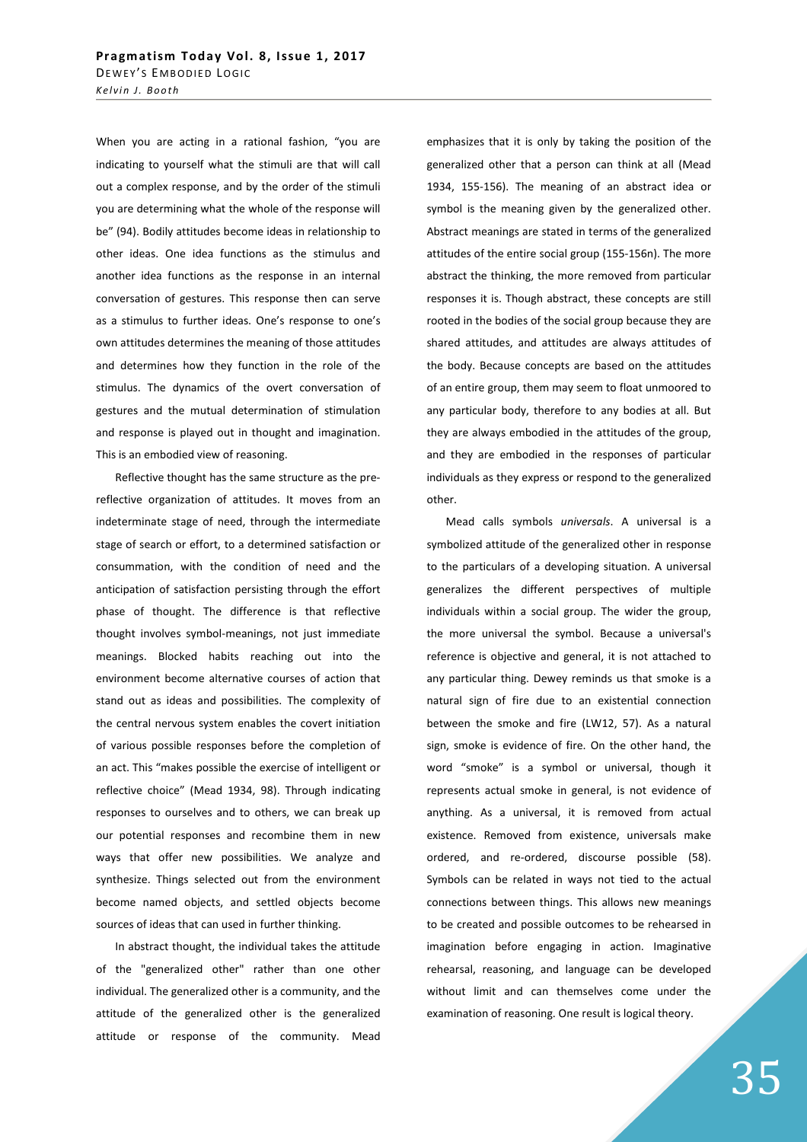When you are acting in a rational fashion, "you are indicating to yourself what the stimuli are that will call out a complex response, and by the order of the stimuli you are determining what the whole of the response will be" (94). Bodily attitudes become ideas in relationship to other ideas. One idea functions as the stimulus and another idea functions as the response in an internal conversation of gestures. This response then can serve as a stimulus to further ideas. One's response to one's own attitudes determines the meaning of those attitudes and determines how they function in the role of the stimulus. The dynamics of the overt conversation of gestures and the mutual determination of stimulation and response is played out in thought and imagination. This is an embodied view of reasoning.

Reflective thought has the same structure as the prereflective organization of attitudes. It moves from an indeterminate stage of need, through the intermediate stage of search or effort, to a determined satisfaction or consummation, with the condition of need and the anticipation of satisfaction persisting through the effort phase of thought. The difference is that reflective thought involves symbol-meanings, not just immediate meanings. Blocked habits reaching out into the environment become alternative courses of action that stand out as ideas and possibilities. The complexity of the central nervous system enables the covert initiation of various possible responses before the completion of an act. This "makes possible the exercise of intelligent or reflective choice" (Mead 1934, 98). Through indicating responses to ourselves and to others, we can break up our potential responses and recombine them in new ways that offer new possibilities. We analyze and synthesize. Things selected out from the environment become named objects, and settled objects become sources of ideas that can used in further thinking.

In abstract thought, the individual takes the attitude of the "generalized other" rather than one other individual. The generalized other is a community, and the attitude of the generalized other is the generalized attitude or response of the community. Mead

emphasizes that it is only by taking the position of the generalized other that a person can think at all (Mead 1934, 155-156). The meaning of an abstract idea or symbol is the meaning given by the generalized other. Abstract meanings are stated in terms of the generalized attitudes of the entire social group (155-156n). The more abstract the thinking, the more removed from particular responses it is. Though abstract, these concepts are still rooted in the bodies of the social group because they are shared attitudes, and attitudes are always attitudes of the body. Because concepts are based on the attitudes of an entire group, them may seem to float unmoored to any particular body, therefore to any bodies at all. But they are always embodied in the attitudes of the group, and they are embodied in the responses of particular individuals as they express or respond to the generalized other.

Mead calls symbols *universals*. A universal is a symbolized attitude of the generalized other in response to the particulars of a developing situation. A universal generalizes the different perspectives of multiple individuals within a social group. The wider the group, the more universal the symbol. Because a universal's reference is objective and general, it is not attached to any particular thing. Dewey reminds us that smoke is a natural sign of fire due to an existential connection between the smoke and fire (LW12, 57). As a natural sign, smoke is evidence of fire. On the other hand, the word "smoke" is a symbol or universal, though it represents actual smoke in general, is not evidence of anything. As a universal, it is removed from actual existence. Removed from existence, universals make ordered, and re-ordered, discourse possible (58). Symbols can be related in ways not tied to the actual connections between things. This allows new meanings to be created and possible outcomes to be rehearsed in imagination before engaging in action. Imaginative rehearsal, reasoning, and language can be developed without limit and can themselves come under the examination of reasoning. One result is logical theory.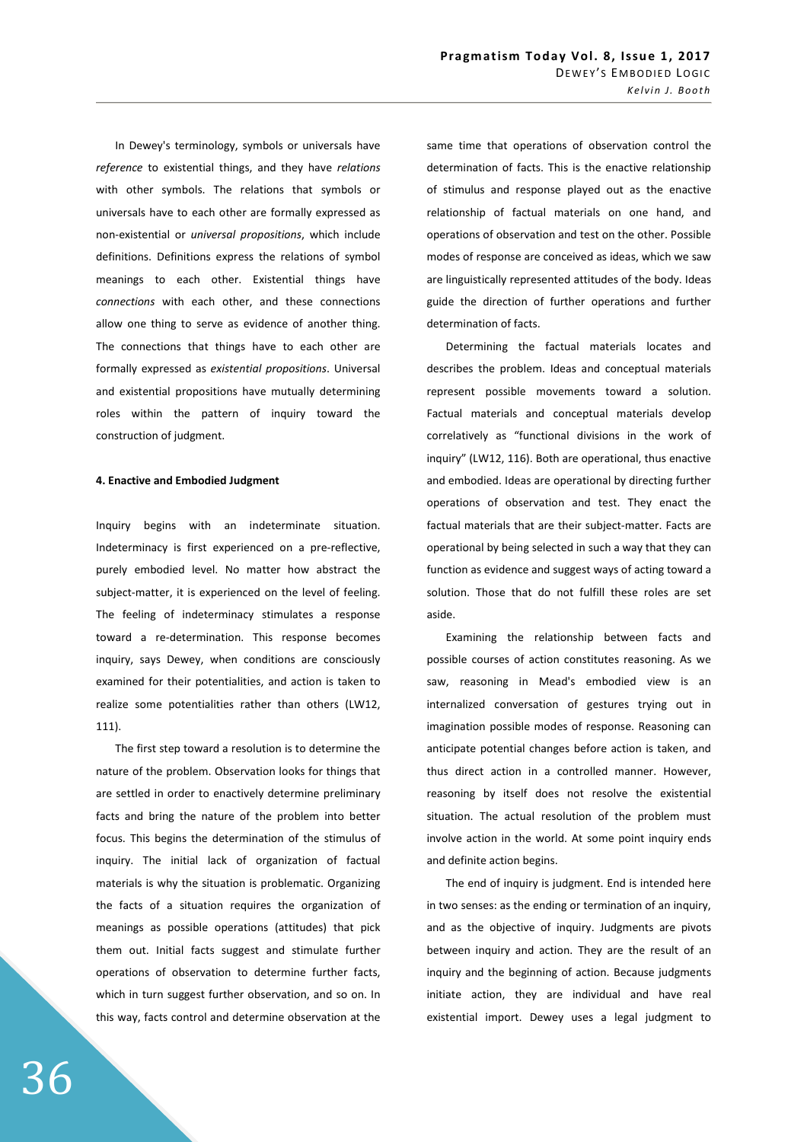In Dewey's terminology, symbols or universals have *reference* to existential things, and they have *relations*  with other symbols. The relations that symbols or universals have to each other are formally expressed as non-existential or *universal propositions*, which include definitions. Definitions express the relations of symbol meanings to each other. Existential things have *connections* with each other, and these connections allow one thing to serve as evidence of another thing. The connections that things have to each other are formally expressed as *existential propositions*. Universal and existential propositions have mutually determining roles within the pattern of inquiry toward the construction of judgment.

# **4. Enactive and Embodied Judgment**

Inquiry begins with an indeterminate situation. Indeterminacy is first experienced on a pre-reflective, purely embodied level. No matter how abstract the subject-matter, it is experienced on the level of feeling. The feeling of indeterminacy stimulates a response toward a re-determination. This response becomes inquiry, says Dewey, when conditions are consciously examined for their potentialities, and action is taken to realize some potentialities rather than others (LW12, 111).

The first step toward a resolution is to determine the nature of the problem. Observation looks for things that are settled in order to enactively determine preliminary facts and bring the nature of the problem into better focus. This begins the determination of the stimulus of inquiry. The initial lack of organization of factual materials is why the situation is problematic. Organizing the facts of a situation requires the organization of meanings as possible operations (attitudes) that pick them out. Initial facts suggest and stimulate further operations of observation to determine further facts, which in turn suggest further observation, and so on. In this way, facts control and determine observation at the

same time that operations of observation control the determination of facts. This is the enactive relationship of stimulus and response played out as the enactive relationship of factual materials on one hand, and operations of observation and test on the other. Possible modes of response are conceived as ideas, which we saw are linguistically represented attitudes of the body. Ideas guide the direction of further operations and further determination of facts.

Determining the factual materials locates and describes the problem. Ideas and conceptual materials represent possible movements toward a solution. Factual materials and conceptual materials develop correlatively as "functional divisions in the work of inquiry" (LW12, 116). Both are operational, thus enactive and embodied. Ideas are operational by directing further operations of observation and test. They enact the factual materials that are their subject-matter. Facts are operational by being selected in such a way that they can function as evidence and suggest ways of acting toward a solution. Those that do not fulfill these roles are set aside.

Examining the relationship between facts and possible courses of action constitutes reasoning. As we saw, reasoning in Mead's embodied view is an internalized conversation of gestures trying out in imagination possible modes of response. Reasoning can anticipate potential changes before action is taken, and thus direct action in a controlled manner. However, reasoning by itself does not resolve the existential situation. The actual resolution of the problem must involve action in the world. At some point inquiry ends and definite action begins.

The end of inquiry is judgment. End is intended here in two senses: as the ending or termination of an inquiry, and as the objective of inquiry. Judgments are pivots between inquiry and action. They are the result of an inquiry and the beginning of action. Because judgments initiate action, they are individual and have real existential import. Dewey uses a legal judgment to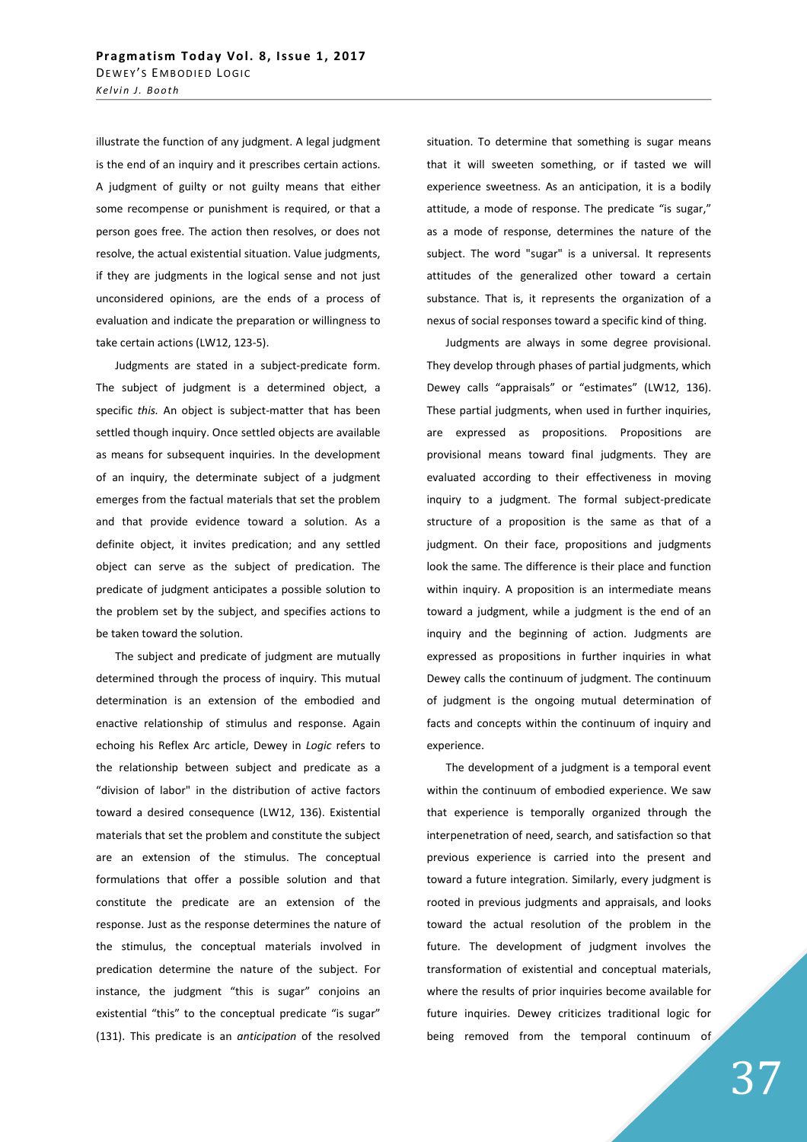illustrate the function of any judgment. A legal judgment is the end of an inquiry and it prescribes certain actions. A judgment of guilty or not guilty means that either some recompense or punishment is required, or that a person goes free. The action then resolves, or does not resolve, the actual existential situation. Value judgments, if they are judgments in the logical sense and not just unconsidered opinions, are the ends of a process of evaluation and indicate the preparation or willingness to take certain actions (LW12, 123-5).

Judgments are stated in a subject-predicate form. The subject of judgment is a determined object, a specific *this.* An object is subject-matter that has been settled though inquiry. Once settled objects are available as means for subsequent inquiries. In the development of an inquiry, the determinate subject of a judgment emerges from the factual materials that set the problem and that provide evidence toward a solution. As a definite object, it invites predication; and any settled object can serve as the subject of predication. The predicate of judgment anticipates a possible solution to the problem set by the subject, and specifies actions to be taken toward the solution.

The subject and predicate of judgment are mutually determined through the process of inquiry. This mutual determination is an extension of the embodied and enactive relationship of stimulus and response. Again echoing his Reflex Arc article, Dewey in *Logic* refers to the relationship between subject and predicate as a "division of labor" in the distribution of active factors toward a desired consequence (LW12, 136). Existential materials that set the problem and constitute the subject are an extension of the stimulus. The conceptual formulations that offer a possible solution and that constitute the predicate are an extension of the response. Just as the response determines the nature of the stimulus, the conceptual materials involved in predication determine the nature of the subject. For instance, the judgment "this is sugar" conjoins an existential "this" to the conceptual predicate "is sugar" (131). This predicate is an *anticipation* of the resolved

situation. To determine that something is sugar means that it will sweeten something, or if tasted we will experience sweetness. As an anticipation, it is a bodily attitude, a mode of response. The predicate "is sugar," as a mode of response, determines the nature of the subject. The word "sugar" is a universal. It represents attitudes of the generalized other toward a certain substance. That is, it represents the organization of a nexus of social responses toward a specific kind of thing.

Judgments are always in some degree provisional. They develop through phases of partial judgments, which Dewey calls "appraisals" or "estimates" (LW12, 136). These partial judgments, when used in further inquiries, are expressed as propositions. Propositions are provisional means toward final judgments. They are evaluated according to their effectiveness in moving inquiry to a judgment. The formal subject-predicate structure of a proposition is the same as that of a judgment. On their face, propositions and judgments look the same. The difference is their place and function within inquiry. A proposition is an intermediate means toward a judgment, while a judgment is the end of an inquiry and the beginning of action. Judgments are expressed as propositions in further inquiries in what Dewey calls the continuum of judgment. The continuum of judgment is the ongoing mutual determination of facts and concepts within the continuum of inquiry and experience.

The development of a judgment is a temporal event within the continuum of embodied experience. We saw that experience is temporally organized through the interpenetration of need, search, and satisfaction so that previous experience is carried into the present and toward a future integration. Similarly, every judgment is rooted in previous judgments and appraisals, and looks toward the actual resolution of the problem in the future. The development of judgment involves the transformation of existential and conceptual materials, where the results of prior inquiries become available for future inquiries. Dewey criticizes traditional logic for being removed from the temporal continuum of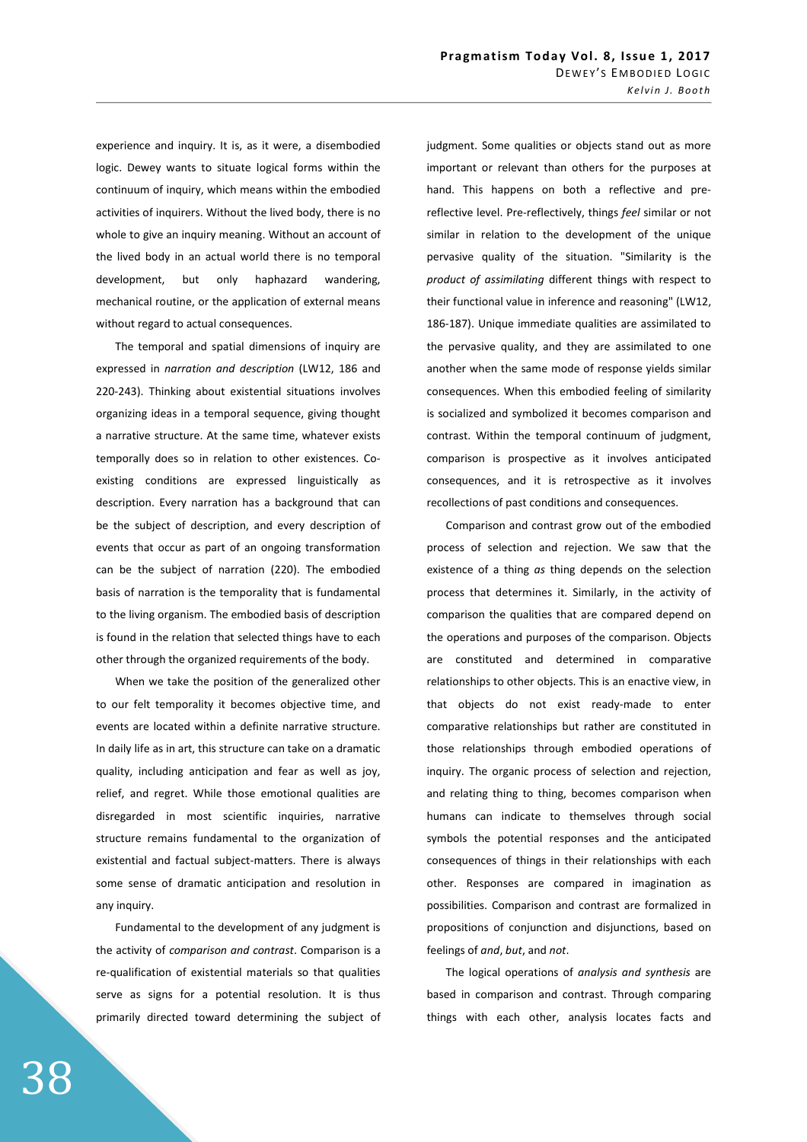experience and inquiry. It is, as it were, a disembodied logic. Dewey wants to situate logical forms within the continuum of inquiry, which means within the embodied activities of inquirers. Without the lived body, there is no whole to give an inquiry meaning. Without an account of the lived body in an actual world there is no temporal development, but only haphazard wandering, mechanical routine, or the application of external means without regard to actual consequences.

The temporal and spatial dimensions of inquiry are expressed in *narration and description* (LW12, 186 and 220-243). Thinking about existential situations involves organizing ideas in a temporal sequence, giving thought a narrative structure. At the same time, whatever exists temporally does so in relation to other existences. Coexisting conditions are expressed linguistically as description. Every narration has a background that can be the subject of description, and every description of events that occur as part of an ongoing transformation can be the subject of narration (220). The embodied basis of narration is the temporality that is fundamental to the living organism. The embodied basis of description is found in the relation that selected things have to each other through the organized requirements of the body.

When we take the position of the generalized other to our felt temporality it becomes objective time, and events are located within a definite narrative structure. In daily life as in art, this structure can take on a dramatic quality, including anticipation and fear as well as joy, relief, and regret. While those emotional qualities are disregarded in most scientific inquiries, narrative structure remains fundamental to the organization of existential and factual subject-matters. There is always some sense of dramatic anticipation and resolution in any inquiry.

Fundamental to the development of any judgment is the activity of *comparison and contrast*. Comparison is a re-qualification of existential materials so that qualities serve as signs for a potential resolution. It is thus primarily directed toward determining the subject of judgment. Some qualities or objects stand out as more important or relevant than others for the purposes at hand. This happens on both a reflective and prereflective level. Pre-reflectively, things *feel* similar or not similar in relation to the development of the unique pervasive quality of the situation. "Similarity is the *product of assimilating* different things with respect to their functional value in inference and reasoning" (LW12, 186-187). Unique immediate qualities are assimilated to the pervasive quality, and they are assimilated to one another when the same mode of response yields similar consequences. When this embodied feeling of similarity is socialized and symbolized it becomes comparison and contrast. Within the temporal continuum of judgment, comparison is prospective as it involves anticipated consequences, and it is retrospective as it involves recollections of past conditions and consequences.

Comparison and contrast grow out of the embodied process of selection and rejection. We saw that the existence of a thing *as* thing depends on the selection process that determines it. Similarly, in the activity of comparison the qualities that are compared depend on the operations and purposes of the comparison. Objects are constituted and determined in comparative relationships to other objects. This is an enactive view, in that objects do not exist ready-made to enter comparative relationships but rather are constituted in those relationships through embodied operations of inquiry. The organic process of selection and rejection, and relating thing to thing, becomes comparison when humans can indicate to themselves through social symbols the potential responses and the anticipated consequences of things in their relationships with each other. Responses are compared in imagination as possibilities. Comparison and contrast are formalized in propositions of conjunction and disjunctions, based on feelings of *and*, *but*, and *not*.

The logical operations of *analysis and synthesis* are based in comparison and contrast. Through comparing things with each other, analysis locates facts and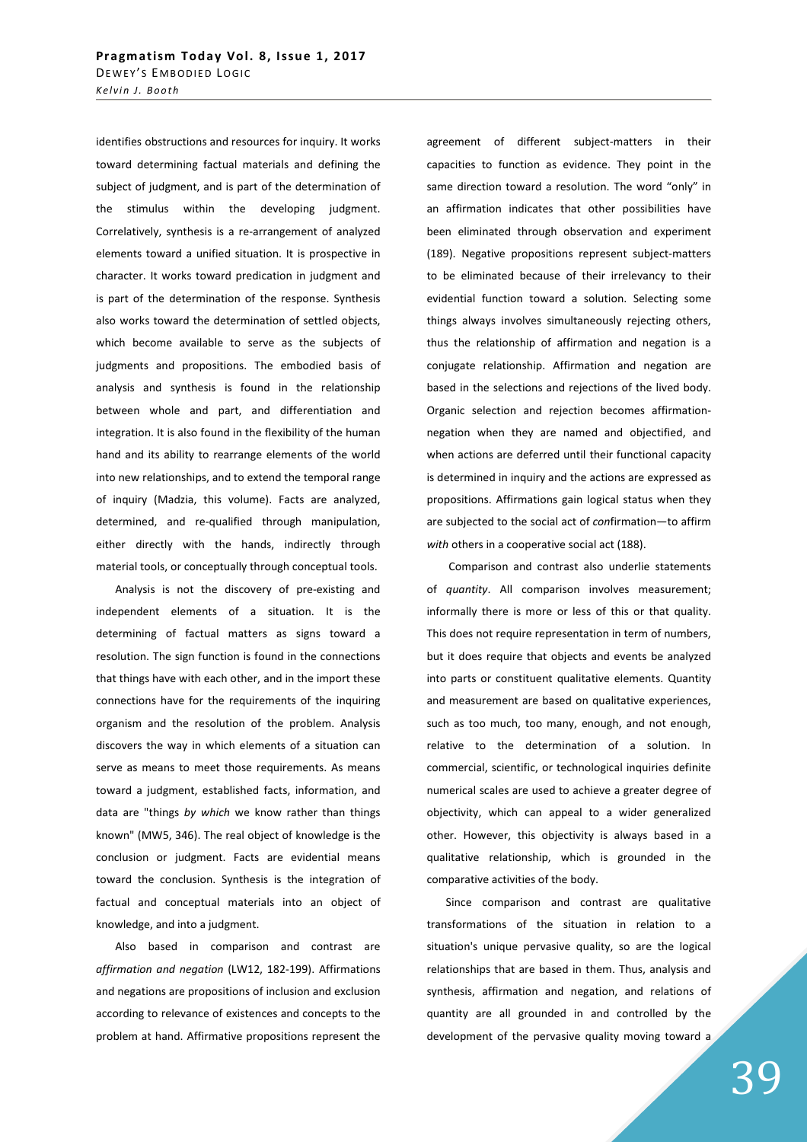identifies obstructions and resources for inquiry. It works toward determining factual materials and defining the subject of judgment, and is part of the determination of the stimulus within the developing judgment. Correlatively, synthesis is a re-arrangement of analyzed elements toward a unified situation. It is prospective in character. It works toward predication in judgment and is part of the determination of the response. Synthesis also works toward the determination of settled objects, which become available to serve as the subjects of judgments and propositions. The embodied basis of analysis and synthesis is found in the relationship between whole and part, and differentiation and integration. It is also found in the flexibility of the human hand and its ability to rearrange elements of the world into new relationships, and to extend the temporal range of inquiry (Madzia, this volume). Facts are analyzed, determined, and re-qualified through manipulation, either directly with the hands, indirectly through material tools, or conceptually through conceptual tools.

Analysis is not the discovery of pre-existing and independent elements of a situation. It is the determining of factual matters as signs toward a resolution. The sign function is found in the connections that things have with each other, and in the import these connections have for the requirements of the inquiring organism and the resolution of the problem. Analysis discovers the way in which elements of a situation can serve as means to meet those requirements. As means toward a judgment, established facts, information, and data are "things *by which* we know rather than things known" (MW5, 346). The real object of knowledge is the conclusion or judgment. Facts are evidential means toward the conclusion. Synthesis is the integration of factual and conceptual materials into an object of knowledge, and into a judgment.

Also based in comparison and contrast are *affirmation and negation* (LW12, 182-199). Affirmations and negations are propositions of inclusion and exclusion according to relevance of existences and concepts to the problem at hand. Affirmative propositions represent the

agreement of different subject-matters in their capacities to function as evidence. They point in the same direction toward a resolution. The word "only" in an affirmation indicates that other possibilities have been eliminated through observation and experiment (189). Negative propositions represent subject-matters to be eliminated because of their irrelevancy to their evidential function toward a solution. Selecting some things always involves simultaneously rejecting others, thus the relationship of affirmation and negation is a conjugate relationship. Affirmation and negation are based in the selections and rejections of the lived body. Organic selection and rejection becomes affirmationnegation when they are named and objectified, and when actions are deferred until their functional capacity is determined in inquiry and the actions are expressed as propositions. Affirmations gain logical status when they are subjected to the social act of *con*firmation—to affirm *with* others in a cooperative social act (188).

 Comparison and contrast also underlie statements of *quantity*. All comparison involves measurement; informally there is more or less of this or that quality. This does not require representation in term of numbers, but it does require that objects and events be analyzed into parts or constituent qualitative elements. Quantity and measurement are based on qualitative experiences, such as too much, too many, enough, and not enough, relative to the determination of a solution. In commercial, scientific, or technological inquiries definite numerical scales are used to achieve a greater degree of objectivity, which can appeal to a wider generalized other. However, this objectivity is always based in a qualitative relationship, which is grounded in the comparative activities of the body.

Since comparison and contrast are qualitative transformations of the situation in relation to a situation's unique pervasive quality, so are the logical relationships that are based in them. Thus, analysis and synthesis, affirmation and negation, and relations of quantity are all grounded in and controlled by the development of the pervasive quality moving toward a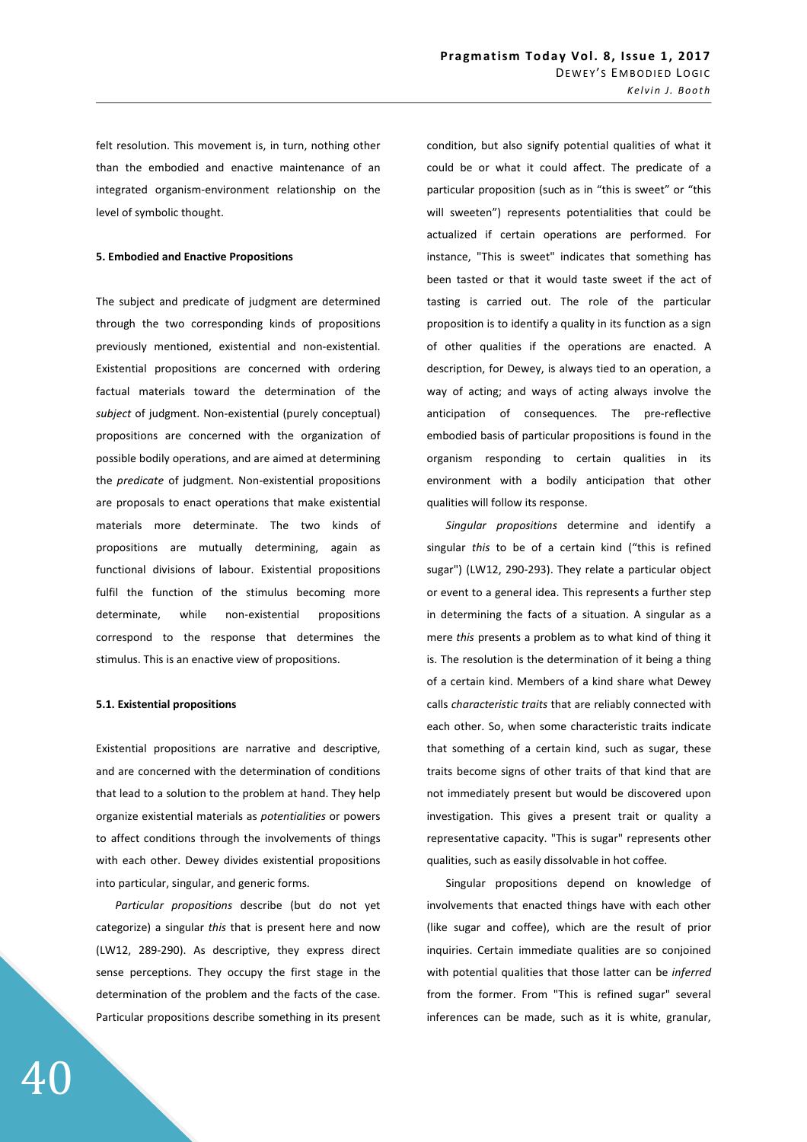felt resolution. This movement is, in turn, nothing other than the embodied and enactive maintenance of an integrated organism-environment relationship on the level of symbolic thought.

#### **5. Embodied and Enactive Propositions**

The subject and predicate of judgment are determined through the two corresponding kinds of propositions previously mentioned, existential and non-existential. Existential propositions are concerned with ordering factual materials toward the determination of the *subject* of judgment. Non-existential (purely conceptual) propositions are concerned with the organization of possible bodily operations, and are aimed at determining the *predicate* of judgment. Non-existential propositions are proposals to enact operations that make existential materials more determinate. The two kinds of propositions are mutually determining, again as functional divisions of labour. Existential propositions fulfil the function of the stimulus becoming more determinate, while non-existential propositions correspond to the response that determines the stimulus. This is an enactive view of propositions.

### **5.1. Existential propositions**

Existential propositions are narrative and descriptive, and are concerned with the determination of conditions that lead to a solution to the problem at hand. They help organize existential materials as *potentialities* or powers to affect conditions through the involvements of things with each other. Dewey divides existential propositions into particular, singular, and generic forms.

*Particular propositions* describe (but do not yet categorize) a singular *this* that is present here and now (LW12, 289-290). As descriptive, they express direct sense perceptions. They occupy the first stage in the determination of the problem and the facts of the case. Particular propositions describe something in its present condition, but also signify potential qualities of what it could be or what it could affect. The predicate of a particular proposition (such as in "this is sweet" or "this will sweeten") represents potentialities that could be actualized if certain operations are performed. For instance, "This is sweet" indicates that something has been tasted or that it would taste sweet if the act of tasting is carried out. The role of the particular proposition is to identify a quality in its function as a sign of other qualities if the operations are enacted. A description, for Dewey, is always tied to an operation, a way of acting; and ways of acting always involve the anticipation of consequences. The pre-reflective embodied basis of particular propositions is found in the organism responding to certain qualities in its environment with a bodily anticipation that other qualities will follow its response.

*Singular propositions* determine and identify a singular *this* to be of a certain kind ("this is refined sugar") (LW12, 290-293). They relate a particular object or event to a general idea. This represents a further step in determining the facts of a situation. A singular as a mere *this* presents a problem as to what kind of thing it is. The resolution is the determination of it being a thing of a certain kind. Members of a kind share what Dewey calls *characteristic traits* that are reliably connected with each other. So, when some characteristic traits indicate that something of a certain kind, such as sugar, these traits become signs of other traits of that kind that are not immediately present but would be discovered upon investigation. This gives a present trait or quality a representative capacity. "This is sugar" represents other qualities, such as easily dissolvable in hot coffee.

Singular propositions depend on knowledge of involvements that enacted things have with each other (like sugar and coffee), which are the result of prior inquiries. Certain immediate qualities are so conjoined with potential qualities that those latter can be *inferred* from the former. From "This is refined sugar" several inferences can be made, such as it is white, granular,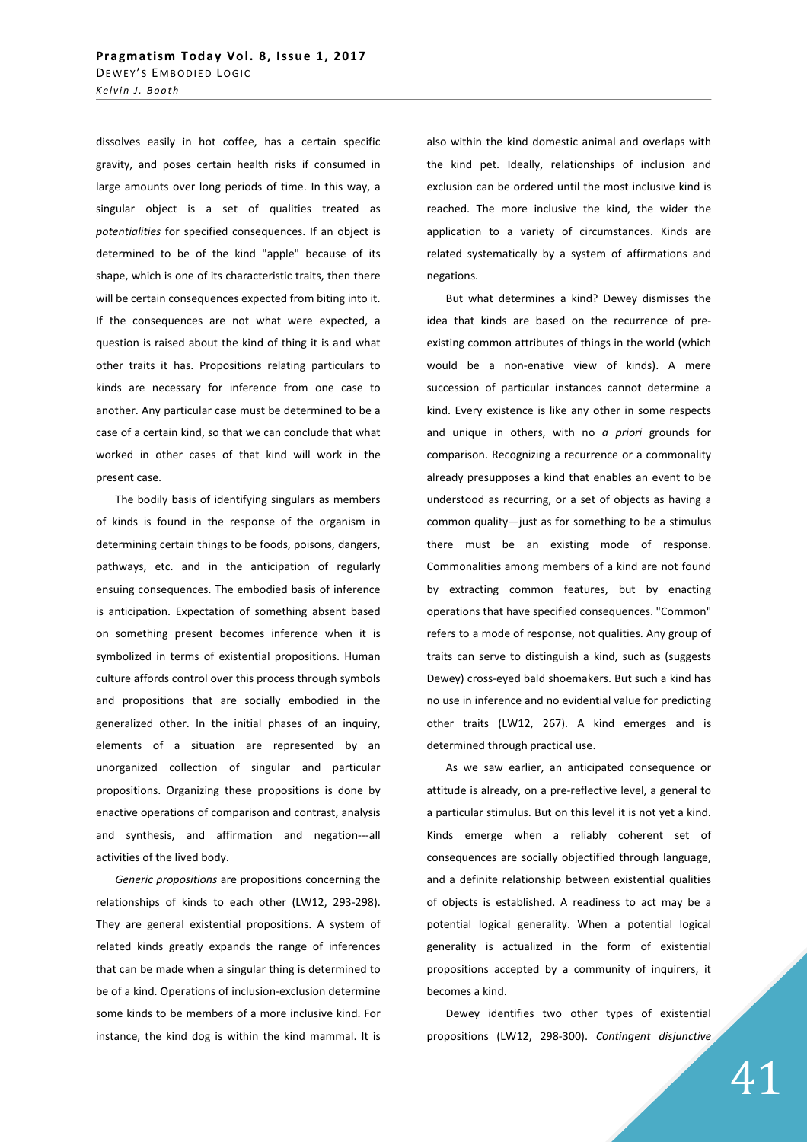dissolves easily in hot coffee, has a certain specific gravity, and poses certain health risks if consumed in large amounts over long periods of time. In this way, a singular object is a set of qualities treated as *potentialities* for specified consequences. If an object is determined to be of the kind "apple" because of its shape, which is one of its characteristic traits, then there will be certain consequences expected from biting into it. If the consequences are not what were expected, a question is raised about the kind of thing it is and what other traits it has. Propositions relating particulars to kinds are necessary for inference from one case to another. Any particular case must be determined to be a case of a certain kind, so that we can conclude that what worked in other cases of that kind will work in the present case.

The bodily basis of identifying singulars as members of kinds is found in the response of the organism in determining certain things to be foods, poisons, dangers, pathways, etc. and in the anticipation of regularly ensuing consequences. The embodied basis of inference is anticipation. Expectation of something absent based on something present becomes inference when it is symbolized in terms of existential propositions. Human culture affords control over this process through symbols and propositions that are socially embodied in the generalized other. In the initial phases of an inquiry, elements of a situation are represented by an unorganized collection of singular and particular propositions. Organizing these propositions is done by enactive operations of comparison and contrast, analysis and synthesis, and affirmation and negation---all activities of the lived body.

*Generic propositions* are propositions concerning the relationships of kinds to each other (LW12, 293-298). They are general existential propositions. A system of related kinds greatly expands the range of inferences that can be made when a singular thing is determined to be of a kind. Operations of inclusion-exclusion determine some kinds to be members of a more inclusive kind. For instance, the kind dog is within the kind mammal. It is also within the kind domestic animal and overlaps with the kind pet. Ideally, relationships of inclusion and exclusion can be ordered until the most inclusive kind is reached. The more inclusive the kind, the wider the application to a variety of circumstances. Kinds are related systematically by a system of affirmations and negations.

But what determines a kind? Dewey dismisses the idea that kinds are based on the recurrence of preexisting common attributes of things in the world (which would be a non-enative view of kinds). A mere succession of particular instances cannot determine a kind. Every existence is like any other in some respects and unique in others, with no *a priori* grounds for comparison. Recognizing a recurrence or a commonality already presupposes a kind that enables an event to be understood as recurring, or a set of objects as having a common quality—just as for something to be a stimulus there must be an existing mode of response. Commonalities among members of a kind are not found by extracting common features, but by enacting operations that have specified consequences. "Common" refers to a mode of response, not qualities. Any group of traits can serve to distinguish a kind, such as (suggests Dewey) cross-eyed bald shoemakers. But such a kind has no use in inference and no evidential value for predicting other traits (LW12, 267). A kind emerges and is determined through practical use.

As we saw earlier, an anticipated consequence or attitude is already, on a pre-reflective level, a general to a particular stimulus. But on this level it is not yet a kind. Kinds emerge when a reliably coherent set of consequences are socially objectified through language, and a definite relationship between existential qualities of objects is established. A readiness to act may be a potential logical generality. When a potential logical generality is actualized in the form of existential propositions accepted by a community of inquirers, it becomes a kind.

Dewey identifies two other types of existential propositions (LW12, 298-300). *Contingent disjunctive*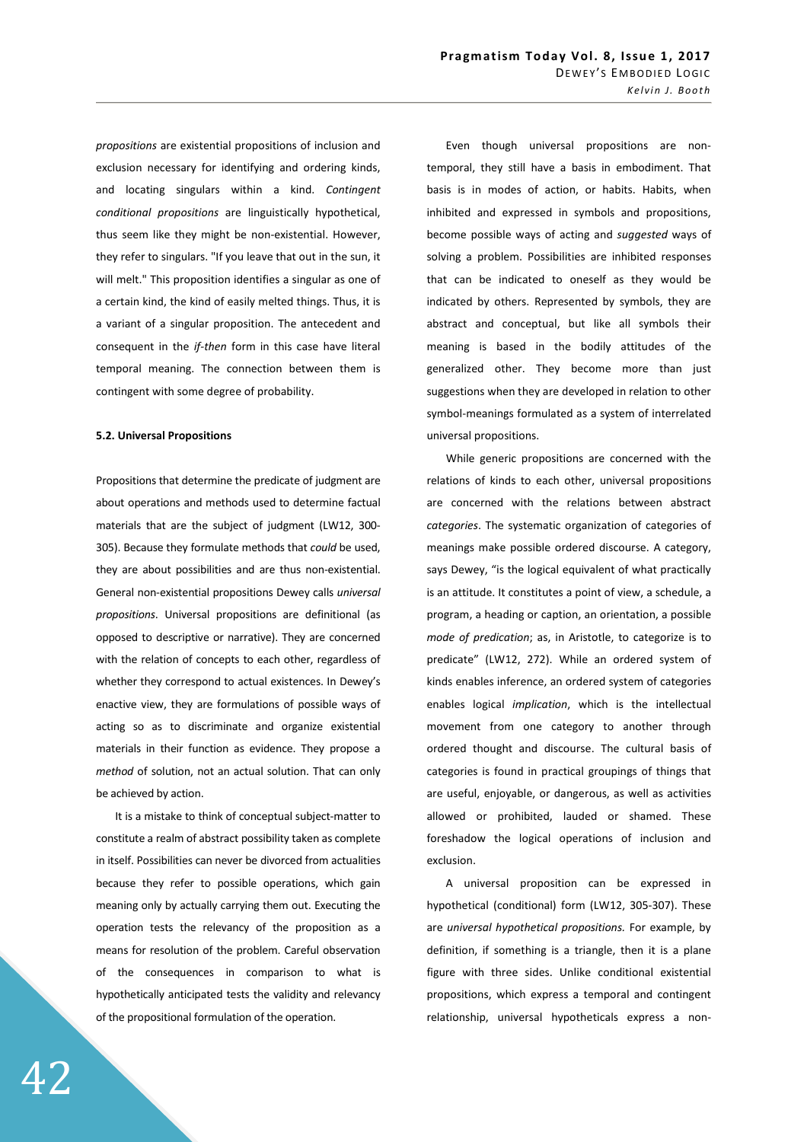*propositions* are existential propositions of inclusion and exclusion necessary for identifying and ordering kinds, and locating singulars within a kind. *Contingent conditional propositions* are linguistically hypothetical, thus seem like they might be non-existential. However, they refer to singulars. "If you leave that out in the sun, it will melt." This proposition identifies a singular as one of a certain kind, the kind of easily melted things. Thus, it is a variant of a singular proposition. The antecedent and consequent in the *if-then* form in this case have literal temporal meaning. The connection between them is contingent with some degree of probability.

### **5.2. Universal Propositions**

Propositions that determine the predicate of judgment are about operations and methods used to determine factual materials that are the subject of judgment (LW12, 300- 305). Because they formulate methods that *could* be used, they are about possibilities and are thus non-existential. General non-existential propositions Dewey calls *universal propositions*. Universal propositions are definitional (as opposed to descriptive or narrative). They are concerned with the relation of concepts to each other, regardless of whether they correspond to actual existences. In Dewey's enactive view, they are formulations of possible ways of acting so as to discriminate and organize existential materials in their function as evidence. They propose a *method* of solution, not an actual solution. That can only be achieved by action.

It is a mistake to think of conceptual subject-matter to constitute a realm of abstract possibility taken as complete in itself. Possibilities can never be divorced from actualities because they refer to possible operations, which gain meaning only by actually carrying them out. Executing the operation tests the relevancy of the proposition as a means for resolution of the problem. Careful observation of the consequences in comparison to what is hypothetically anticipated tests the validity and relevancy of the propositional formulation of the operation.

Even though universal propositions are nontemporal, they still have a basis in embodiment. That basis is in modes of action, or habits. Habits, when inhibited and expressed in symbols and propositions, become possible ways of acting and *suggested* ways of solving a problem. Possibilities are inhibited responses that can be indicated to oneself as they would be indicated by others. Represented by symbols, they are abstract and conceptual, but like all symbols their meaning is based in the bodily attitudes of the generalized other. They become more than just suggestions when they are developed in relation to other symbol-meanings formulated as a system of interrelated universal propositions.

While generic propositions are concerned with the relations of kinds to each other, universal propositions are concerned with the relations between abstract *categories*. The systematic organization of categories of meanings make possible ordered discourse. A category, says Dewey, "is the logical equivalent of what practically is an attitude. It constitutes a point of view, a schedule, a program, a heading or caption, an orientation, a possible *mode of predication*; as, in Aristotle, to categorize is to predicate" (LW12, 272). While an ordered system of kinds enables inference, an ordered system of categories enables logical *implication*, which is the intellectual movement from one category to another through ordered thought and discourse. The cultural basis of categories is found in practical groupings of things that are useful, enjoyable, or dangerous, as well as activities allowed or prohibited, lauded or shamed. These foreshadow the logical operations of inclusion and exclusion.

A universal proposition can be expressed in hypothetical (conditional) form (LW12, 305-307). These are *universal hypothetical propositions.* For example, by definition, if something is a triangle, then it is a plane figure with three sides. Unlike conditional existential propositions, which express a temporal and contingent relationship, universal hypotheticals express a non-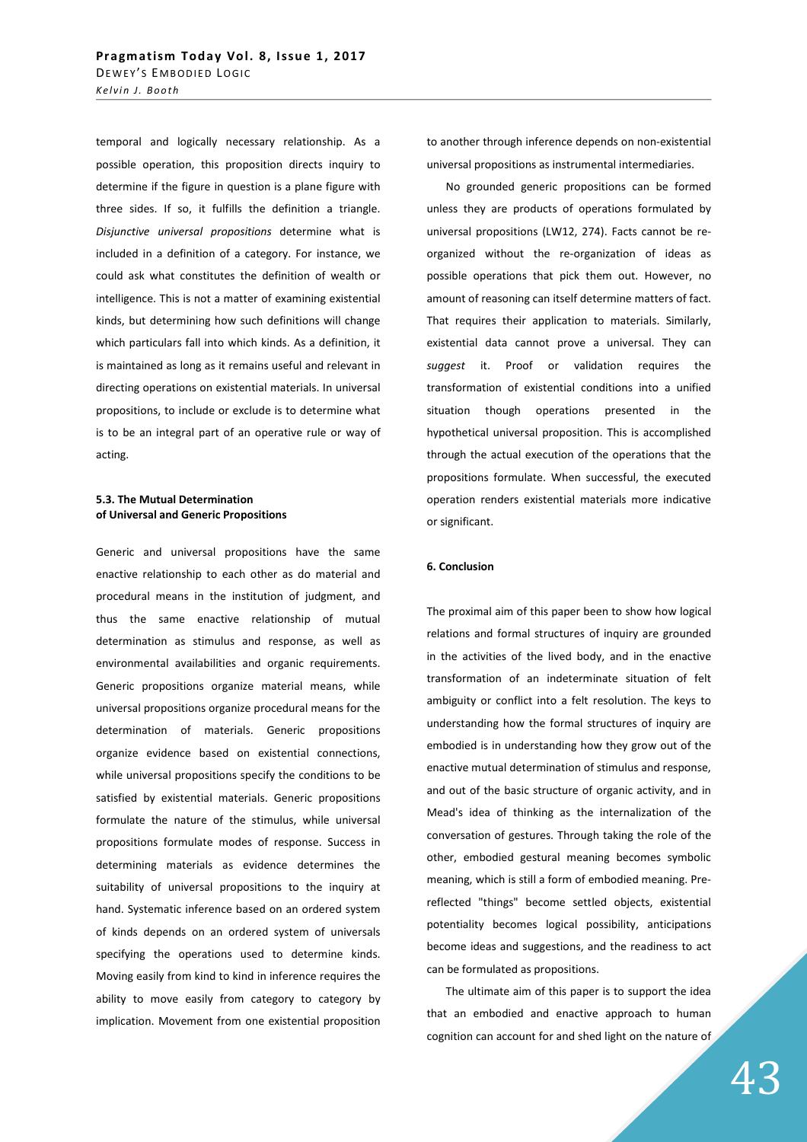temporal and logically necessary relationship. As a possible operation, this proposition directs inquiry to determine if the figure in question is a plane figure with three sides. If so, it fulfills the definition a triangle. *Disjunctive universal propositions* determine what is included in a definition of a category. For instance, we could ask what constitutes the definition of wealth or intelligence. This is not a matter of examining existential kinds, but determining how such definitions will change which particulars fall into which kinds. As a definition, it is maintained as long as it remains useful and relevant in directing operations on existential materials. In universal propositions, to include or exclude is to determine what is to be an integral part of an operative rule or way of acting.

# **5.3. The Mutual Determination of Universal and Generic Propositions**

Generic and universal propositions have the same enactive relationship to each other as do material and procedural means in the institution of judgment, and thus the same enactive relationship of mutual determination as stimulus and response, as well as environmental availabilities and organic requirements. Generic propositions organize material means, while universal propositions organize procedural means for the determination of materials. Generic propositions organize evidence based on existential connections, while universal propositions specify the conditions to be satisfied by existential materials. Generic propositions formulate the nature of the stimulus, while universal propositions formulate modes of response. Success in determining materials as evidence determines the suitability of universal propositions to the inquiry at hand. Systematic inference based on an ordered system of kinds depends on an ordered system of universals specifying the operations used to determine kinds. Moving easily from kind to kind in inference requires the ability to move easily from category to category by implication. Movement from one existential proposition to another through inference depends on non-existential universal propositions as instrumental intermediaries.

No grounded generic propositions can be formed unless they are products of operations formulated by universal propositions (LW12, 274). Facts cannot be reorganized without the re-organization of ideas as possible operations that pick them out. However, no amount of reasoning can itself determine matters of fact. That requires their application to materials. Similarly, existential data cannot prove a universal. They can *suggest* it. Proof or validation requires the transformation of existential conditions into a unified situation though operations presented in the hypothetical universal proposition. This is accomplished through the actual execution of the operations that the propositions formulate. When successful, the executed operation renders existential materials more indicative or significant.

# **6. Conclusion**

The proximal aim of this paper been to show how logical relations and formal structures of inquiry are grounded in the activities of the lived body, and in the enactive transformation of an indeterminate situation of felt ambiguity or conflict into a felt resolution. The keys to understanding how the formal structures of inquiry are embodied is in understanding how they grow out of the enactive mutual determination of stimulus and response, and out of the basic structure of organic activity, and in Mead's idea of thinking as the internalization of the conversation of gestures. Through taking the role of the other, embodied gestural meaning becomes symbolic meaning, which is still a form of embodied meaning. Prereflected "things" become settled objects, existential potentiality becomes logical possibility, anticipations become ideas and suggestions, and the readiness to act can be formulated as propositions.

The ultimate aim of this paper is to support the idea that an embodied and enactive approach to human cognition can account for and shed light on the nature of